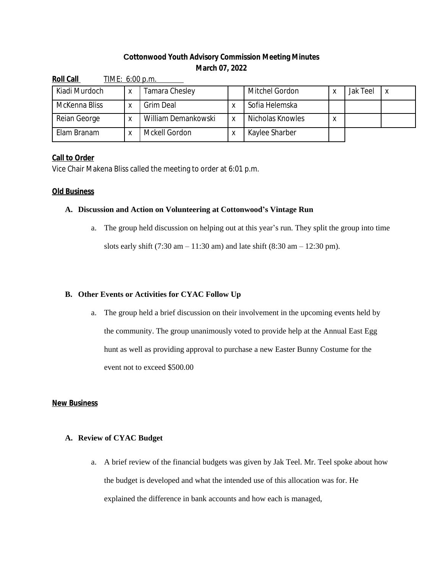# **Cottonwood Youth Advisory Commission Meeting Minutes March 07, 2022**

| <b>Roll Call</b><br>TIME: 6:00 p.m. |   |                     |  |                  |   |          |  |  |
|-------------------------------------|---|---------------------|--|------------------|---|----------|--|--|
| Kiadi Murdoch                       | Χ | Tamara Chesley      |  | Mitchel Gordon   | X | Jak Teel |  |  |
| McKenna Bliss                       |   | Grim Deal           |  | Sofia Helemska   |   |          |  |  |
| Reian George                        |   | William Demankowski |  | Nicholas Knowles | Χ |          |  |  |
| Elam Branam                         |   | Mckell Gordon       |  | Kaylee Sharber   |   |          |  |  |

## **Call to Order**

Vice Chair Makena Bliss called the meeting to order at 6:01 p.m.

#### **Old Business**

#### **A. Discussion and Action on Volunteering at Cottonwood's Vintage Run**

a. The group held discussion on helping out at this year's run. They split the group into time slots early shift  $(7:30 \text{ am} - 11:30 \text{ am})$  and late shift  $(8:30 \text{ am} - 12:30 \text{ pm})$ .

## **B. Other Events or Activities for CYAC Follow Up**

a. The group held a brief discussion on their involvement in the upcoming events held by the community. The group unanimously voted to provide help at the Annual East Egg hunt as well as providing approval to purchase a new Easter Bunny Costume for the event not to exceed \$500.00

#### **New Business**

## **A. Review of CYAC Budget**

a. A brief review of the financial budgets was given by Jak Teel. Mr. Teel spoke about how the budget is developed and what the intended use of this allocation was for. He explained the difference in bank accounts and how each is managed,